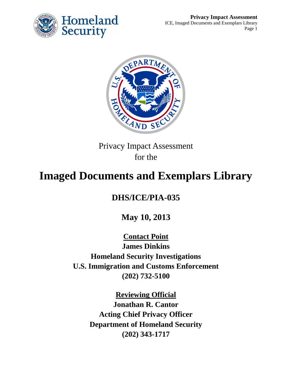



Privacy Impact Assessment for the

# **Imaged Documents and Exemplars Library**

# **DHS/ICE/PIA-035**

**May 10, 2013**

**Contact Point James Dinkins Homeland Security Investigations U.S. Immigration and Customs Enforcement (202) 732-5100**

> **Reviewing Official Jonathan R. Cantor Acting Chief Privacy Officer Department of Homeland Security (202) 343-1717**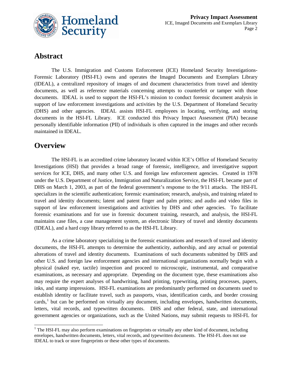

#### **Abstract**

The U.S. Immigration and Customs Enforcement (ICE) Homeland Security Investigations-Forensic Laboratory (HSI-FL) owns and operates the Imaged Documents and Exemplars Library (IDEAL), a centralized repository of images of and document characteristics from travel and identity documents, as well as reference materials concerning attempts to counterfeit or tamper with those documents. IDEAL is used to support the HSI-FL's mission to conduct forensic document analysis in support of law enforcement investigations and activities by the U.S. Department of Homeland Security (DHS) and other agencies. IDEAL assists HSI-FL employees in locating, verifying, and storing documents in the HSI-FL Library. ICE conducted this Privacy Impact Assessment (PIA) because personally identifiable information (PII) of individuals is often captured in the images and other records maintained in IDEAL.

#### **Overview**

The HSI-FL is an accredited crime laboratory located within ICE's Office of Homeland Security Investigations (HSI) that provides a broad range of forensic, intelligence, and investigative support services for ICE, DHS, and many other U.S. and foreign law enforcement agencies. Created in 1978 under the U.S. Department of Justice, Immigration and Naturalization Service, the HSI-FL became part of DHS on March 1, 2003, as part of the federal government's response to the 9/11 attacks. The HSI-FL specializes in the scientific authentication; forensic examination; research, analysis, and training related to travel and identity documents; latent and patent finger and palm prints; and audio and video files in support of law enforcement investigations and activities by DHS and other agencies. To facilitate forensic examinations and for use in forensic document training, research, and analysis, the HSI-FL maintains case files, a case management system, an electronic library of travel and identity documents (IDEAL), and a hard copy library referred to as the HSI-FL Library.

As a crime laboratory specializing in the forensic examinations and research of travel and identity documents, the HSI-FL attempts to determine the authenticity, authorship, and any actual or potential alterations of travel and identity documents. Examinations of such documents submitted by DHS and other U.S. and foreign law enforcement agencies and international organizations normally begin with a physical (naked eye, tactile) inspection and proceed to microscopic, instrumental, and comparative examinations, as necessary and appropriate. Depending on the document type, these examinations also may require the expert analyses of handwriting, hand printing, typewriting, printing processes, papers, inks, and stamp impressions. HSI-FL examinations are predominantly performed on documents used to establish identity or facilitate travel, such as passports, visas, identification cards, and border crossing cards,<sup>[1](#page-1-0)</sup> but can be performed on virtually any document, including envelopes, handwritten documents, letters, vital records, and typewritten documents. DHS and other federal, state, and international government agencies or organizations, such as the United Nations, may submit requests to HSI-FL for

<span id="page-1-0"></span> $<sup>1</sup>$  The HSI-FL may also perform examinations on fingerprints or virtually any other kind of document, including</sup> envelopes, handwritten documents, letters, vital records, and typewritten documents. The HSI-FL does not use IDEAL to track or store fingerprints or these other types of documents.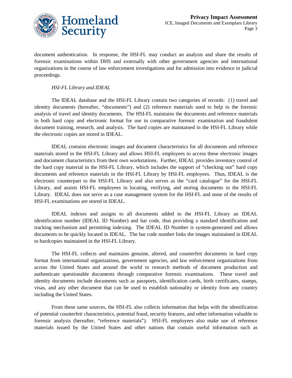

document authentication. In response, the HSI-FL may conduct an analysis and share the results of forensic examinations within DHS and externally with other government agencies and international organizations in the course of law enforcement investigations and for admission into evidence in judicial proceedings.

#### *HSI-FL Library and IDEAL*

The IDEAL database and the HSI-FL Library contain two categories of records: (1) travel and identity documents (hereafter, "documents") and (2) reference materials used to help in the forensic analysis of travel and identity documents. The HSI-FL maintains the documents and reference materials in both hard copy and electronic format for use in comparative forensic examination and fraudulent document training, research, and analysis. The hard copies are maintained in the HSI-FL Library while the electronic copies are stored in IDEAL.

IDEAL contains electronic images and document characteristics for all documents and reference materials stored in the HSI-FL Library and allows HSI-FL employees to access these electronic images and document characteristics from their own workstations. Further, IDEAL provides inventory control of the hard copy material in the HSI-FL Library, which includes the support of "checking out" hard copy documents and reference materials in the HSI-FL Library by HSI-FL employees. Thus, IDEAL is the electronic counterpart to the HSI-FL Library and also serves as the "card catalogue" for the HSI-FL Library, and assists HSI-FL employees in locating, verifying, and storing documents in the HSI-FL Library. IDEAL does not serve as a case management system for the HSI-FL and none of the results of HSI-FL examinations are stored in IDEAL.

IDEAL indexes and assigns to all documents added to the HSI-FL Library an IDEAL identification number (IDEAL ID Number) and bar code, thus providing a standard identification and tracking mechanism and permitting indexing. The IDEAL ID Number is system-generated and allows documents to be quickly located in IDEAL. The bar code number links the images maintained in IDEAL to hardcopies maintained in the HSI-FL Library.

The HSI-FL collects and maintains genuine, altered, and counterfeit documents in hard copy format from international organizations, government agencies, and law enforcement organizations from across the United States and around the world to research methods of document production and authenticate questionable documents through comparative forensic examinations. These travel and identity documents include documents such as passports, identification cards, birth certificates, stamps, visas, and any other document that can be used to establish nationality or identity from any country including the United States.

From these same sources, the HSI-FL also collects information that helps with the identification of potential counterfeit characteristics, potential fraud, security features, and other information valuable to forensic analysis (hereafter, "reference materials"). HSI-FL employees also make use of reference materials issued by the United States and other nations that contain useful information such as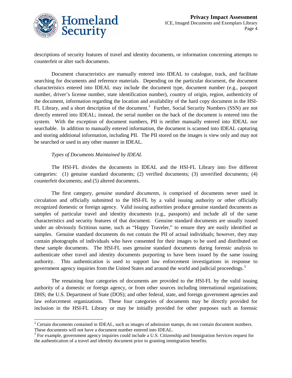

descriptions of security features of travel and identity documents, or information concerning attempts to counterfeit or alter such documents.

Document characteristics are manually entered into IDEAL to catalogue, track, and facilitate searching for documents and reference materials. Depending on the particular document, the document characteristics entered into IDEAL may include the document type, document number (e.g., passport number, driver's license number, state identification number), country of origin, region, authenticity of the document, information regarding the location and availability of the hard copy document in the HSI-FL Library, and a short description of the document.<sup>[2](#page-3-0)</sup> Further, Social Security Numbers (SSN) are not directly entered into IDEAL; instead, the serial number on the back of the document is entered into the system. With the exception of document numbers, PII is neither manually entered into IDEAL nor searchable. In addition to manually entered information, the document is scanned into IDEAL capturing and storing additional information, including PII. The PII stored on the images is view only and may not be searched or used in any other manner in IDEAL.

#### *Types of Documents Maintained by IDEAL*

The HSI-FL divides the documents in IDEAL and the HSI-FL Library into five different categories: (1) genuine standard documents; (2) verified documents; (3) unverified documents; (4) counterfeit documents; and (5) altered documents.

The first category, *genuine standard documents,* is comprised of documents never used in circulation and officially submitted to the HSI-FL by a valid issuing authority or other officially recognized domestic or foreign agency. Valid issuing authorities produce genuine standard documents as samples of particular travel and identity documents (e.g., passports) and include all of the same characteristics and security features of that document. Genuine standard documents are usually issued under an obviously fictitious name, such as "Happy Traveler," to ensure they are easily identified as samples. Genuine standard documents do not contain the PII of actual individuals; however, they may contain photographs of individuals who have consented for their images to be used and distributed on these sample documents. The HSI-FL uses genuine standard documents during forensic analysis to authenticate other travel and identity documents purporting to have been issued by the same issuing authority. This authentication is used to support law enforcement investigations in response to government agency inquiries from the United States and around the world and judicial proceedings.<sup>[3](#page-3-1)</sup>

The remaining four categories of documents are provided to the HSI-FL by the valid issuing authority of a domestic or foreign agency, or from other sources including international organizations; DHS; the U.S. Department of State (DOS); and other federal, state, and foreign government agencies and law enforcement organizations. These four categories of documents may be directly provided for inclusion in the HSI-FL Library or may be initially provided for other purposes such as forensic

<span id="page-3-0"></span><sup>&</sup>lt;sup>2</sup> Certain documents contained in IDEAL, such as images of admission stamps, do not contain document numbers. These documents will not have a document number entered into IDEAL.

<span id="page-3-1"></span><sup>&</sup>lt;sup>3</sup> For example, government agency inquiries could include a U.S. Citizenship and Immigration Services request for the authentication of a travel and identity document prior to granting immigration benefits.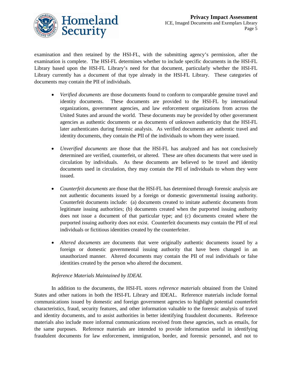

examination and then retained by the HSI-FL, with the submitting agency's permission, after the examination is complete. The HSI-FL determines whether to include specific documents in the HSI-FL Library based upon the HSI-FL Library's need for that document, particularly whether the HSI-FL Library currently has a document of that type already in the HSI-FL Library. These categories of documents may contain the PII of individuals.

- *Verified documents* are those documents found to conform to comparable genuine travel and identity documents. These documents are provided to the HSI-FL by international organizations, government agencies, and law enforcement organizations from across the United States and around the world. These documents may be provided by other government agencies as authentic documents or as documents of unknown authenticity that the HSI-FL later authenticates during forensic analysis. As verified documents are authentic travel and identity documents, they contain the PII of the individuals to whom they were issued.
- *Unverified documents* are those that the HSI-FL has analyzed and has not conclusively determined are verified, counterfeit, or altered. These are often documents that were used in circulation by individuals. As these documents are believed to be travel and identity documents used in circulation, they may contain the PII of individuals to whom they were issued.
- *Counterfeit documents* are those that the HSI-FL has determined through forensic analysis are not authentic documents issued by a foreign or domestic governmental issuing authority. Counterfeit documents include: (a) documents created to imitate authentic documents from legitimate issuing authorities; (b) documents created when the purported issuing authority does not issue a document of that particular type; and (c) documents created where the purported issuing authority does not exist. Counterfeit documents may contain the PII of real individuals or fictitious identities created by the counterfeiter.
- *Altered documents* are documents that were originally authentic documents issued by a foreign or domestic governmental issuing authority that have been changed in an unauthorized manner. Altered documents may contain the PII of real individuals or false identities created by the person who altered the document.

#### *Reference Materials Maintained by IDEAL*

In addition to the documents, the HSI-FL stores *reference materials* obtained from the United States and other nations in both the HSI-FL Library and IDEAL. Reference materials include formal communications issued by domestic and foreign government agencies to highlight potential counterfeit characteristics, fraud, security features, and other information valuable to the forensic analysis of travel and identity documents, and to assist authorities in better identifying fraudulent documents. Reference materials also include more informal communications received from these agencies, such as emails, for the same purposes. Reference materials are intended to provide information useful in identifying fraudulent documents for law enforcement, immigration, border, and forensic personnel, and not to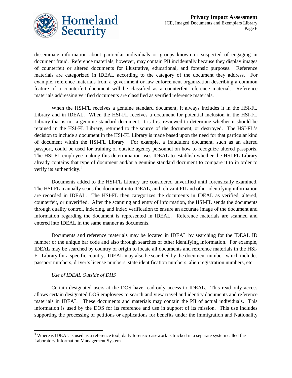

disseminate information about particular individuals or groups known or suspected of engaging in document fraud. Reference materials, however, may contain PII incidentally because they display images of counterfeit or altered documents for illustrative, educational, and forensic purposes. Reference materials are categorized in IDEAL according to the category of the document they address. For example, reference materials from a government or law enforcement organization describing a common feature of a counterfeit document will be classified as a counterfeit reference material. Reference materials addressing verified documents are classified as verified reference materials.

When the HSI-FL receives a genuine standard document, it always includes it in the HSI-FL Library and in IDEAL. When the HSI-FL receives a document for potential inclusion in the HSI-FL Library that is not a genuine standard document, it is first reviewed to determine whether it should be retained in the HSI-FL Library, returned to the source of the document, or destroyed. The HSI-FL's decision to include a document in the HSI-FL Library is made based upon the need for that particular kind of document within the HSI-FL Library. For example, a fraudulent document, such as an altered passport, could be used for training of outside agency personnel on how to recognize altered passports. The HSI-FL employee making this determination uses IDEAL to establish whether the HSI-FL Library already contains that type of document and/or a genuine standard document to compare it to in order to verify its authenticity.<sup>[4](#page-5-0)</sup>

Documents added to the HSI-FL Library are considered unverified until forensically examined. The HSI-FL manually scans the document into IDEAL, and relevant PII and other identifying information are recorded in IDEAL. The HSI-FL then categorizes the documents in IDEAL as verified, altered, counterfeit, or unverified. After the scanning and entry of information, the HSI-FL sends the documents through quality control, indexing, and index verification to ensure an accurate image of the document and information regarding the document is represented in IDEAL. Reference materials are scanned and entered into IDEAL in the same manner as documents.

Documents and reference materials may be located in IDEAL by searching for the IDEAL ID number or the unique bar code and also through searches of other identifying information. For example, IDEAL may be searched by country of origin to locate all documents and reference materials in the HSI-FL Library for a specific country. IDEAL may also be searched by the document number, which includes passport numbers, driver's license numbers, state identification numbers, alien registration numbers, etc.

#### *Use of IDEAL Outside of DHS*

Certain designated users at the DOS have read-only access to IDEAL. This read-only access allows certain designated DOS employees to search and view travel and identity documents and reference materials in IDEAL. These documents and materials may contain the PII of actual individuals. This information is used by the DOS for its reference and use in support of its mission. This use includes supporting the processing of petitions or applications for benefits under the Immigration and Nationality

<span id="page-5-0"></span><sup>&</sup>lt;sup>4</sup> Whereas IDEAL is used as a reference tool, daily forensic casework is tracked in a separate system called the Laboratory Information Management System.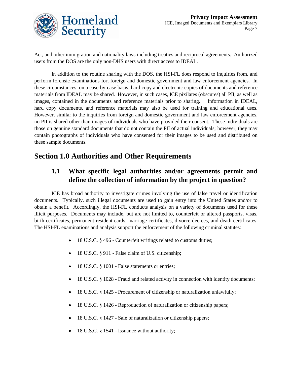

Act, and other immigration and nationality laws including treaties and reciprocal agreements. Authorized users from the DOS are the only non-DHS users with direct access to IDEAL.

In addition to the routine sharing with the DOS, the HSI-FL does respond to inquiries from, and perform forensic examinations for, foreign and domestic government and law enforcement agencies. In these circumstances, on a case-by-case basis, hard copy and electronic copies of documents and reference materials from IDEAL may be shared. However, in such cases, ICE pixilates (obscures) all PII, as well as images, contained in the documents and reference materials prior to sharing. Information in IDEAL, hard copy documents, and reference materials may also be used for training and educational uses. However, similar to the inquiries from foreign and domestic government and law enforcement agencies, no PII is shared other than images of individuals who have provided their consent. These individuals are those on genuine standard documents that do not contain the PII of actual individuals; however, they may contain photographs of individuals who have consented for their images to be used and distributed on these sample documents.

# **Section 1.0 Authorities and Other Requirements**

#### **1.1 What specific legal authorities and/or agreements permit and define the collection of information by the project in question?**

ICE has broad authority to investigate crimes involving the use of false travel or identification documents. Typically, such illegal documents are used to gain entry into the United States and/or to obtain a benefit. Accordingly, the HSI-FL conducts analysis on a variety of documents used for these illicit purposes. Documents may include, but are not limited to, counterfeit or altered passports, visas, birth certificates, permanent resident cards, marriage certificates, divorce decrees, and death certificates. The HSI-FL examinations and analysis support the enforcement of the following criminal statutes:

- 18 U.S.C. § 496 Counterfeit writings related to customs duties;
- 18 U.S.C. § 911 False claim of U.S. citizenship;
- 18 U.S.C. § 1001 False statements or entries;
- 18 U.S.C. § 1028 Fraud and related activity in connection with identity documents;
- 18 U.S.C. § 1425 Procurement of citizenship or naturalization unlawfully;
- 18 U.S.C. § 1426 Reproduction of naturalization or citizenship papers;
- 18 U.S.C. § 1427 Sale of naturalization or citizenship papers;
- 18 U.S.C. § 1541 Issuance without authority;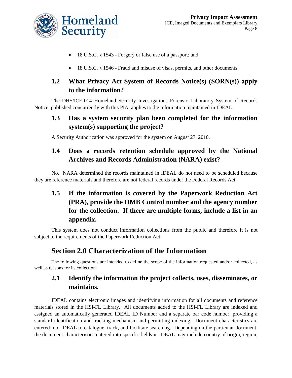

- 18 U.S.C. § 1543 Forgery or false use of a passport; and
- 18 U.S.C. § 1546 Fraud and misuse of visas, permits, and other documents.

#### **1.2 What Privacy Act System of Records Notice(s) (SORN(s)) apply to the information?**

The DHS/ICE-014 Homeland Security Investigations Forensic Laboratory System of Records Notice, published concurrently with this PIA, applies to the information maintained in IDEAL.

#### **1.3 Has a system security plan been completed for the information system(s) supporting the project?**

A Security Authorization was approved for the system on August 27, 2010.

#### **1.4 Does a records retention schedule approved by the National Archives and Records Administration (NARA) exist?**

No. NARA determined the records maintained in IDEAL do not need to be scheduled because they are reference materials and therefore are not federal records under the Federal Records Act.

## **1.5 If the information is covered by the Paperwork Reduction Act (PRA), provide the OMB Control number and the agency number for the collection. If there are multiple forms, include a list in an appendix.**

This system does not conduct information collections from the public and therefore it is not subject to the requirements of the Paperwork Reduction Act.

#### **Section 2.0 Characterization of the Information**

The following questions are intended to define the scope of the information requested and/or collected, as well as reasons for its collection.

## **2.1 Identify the information the project collects, uses, disseminates, or maintains.**

IDEAL contains electronic images and identifying information for all documents and reference materials stored in the HSI-FL Library. All documents added to the HSI-FL Library are indexed and assigned an automatically generated IDEAL ID Number and a separate bar code number, providing a standard identification and tracking mechanism and permitting indexing. Document characteristics are entered into IDEAL to catalogue, track, and facilitate searching. Depending on the particular document, the document characteristics entered into specific fields in IDEAL may include country of origin, region,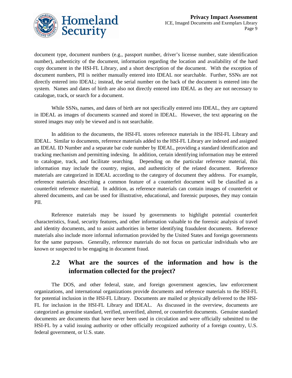

document type, document numbers (e.g., passport number, driver's license number, state identification number), authenticity of the document, information regarding the location and availability of the hard copy document in the HSI-FL Library, and a short description of the document. With the exception of document numbers, PII is neither manually entered into IDEAL nor searchable. Further, SSNs are not directly entered into IDEAL; instead, the serial number on the back of the document is entered into the system. Names and dates of birth are also not directly entered into IDEAL as they are not necessary to catalogue, track, or search for a document.

While SSNs, names, and dates of birth are not specifically entered into IDEAL, they are captured in IDEAL as images of documents scanned and stored in IDEAL. However, the text appearing on the stored images may only be viewed and is not searchable.

In addition to the documents, the HSI-FL stores reference materials in the HSI-FL Library and IDEAL. Similar to documents, reference materials added to the HSI-FL Library are indexed and assigned an IDEAL ID Number and a separate bar code number by IDEAL, providing a standard identification and tracking mechanism and permitting indexing. In addition, certain identifying information may be entered to catalogue, track, and facilitate searching. Depending on the particular reference material, this information may include the country, region, and authenticity of the related document. Reference materials are categorized in IDEAL according to the category of document they address. For example, reference materials describing a common feature of a counterfeit document will be classified as a counterfeit reference material. In addition, as reference materials can contain images of counterfeit or altered documents, and can be used for illustrative, educational, and forensic purposes, they may contain PII.

Reference materials may be issued by governments to highlight potential counterfeit characteristics, fraud, security features, and other information valuable to the forensic analysis of travel and identity documents, and to assist authorities in better identifying fraudulent documents. Reference materials also include more informal information provided by the United States and foreign governments for the same purposes. Generally, reference materials do not focus on particular individuals who are known or suspected to be engaging in document fraud.

#### **2.2 What are the sources of the information and how is the information collected for the project?**

The DOS, and other federal, state, and foreign government agencies, law enforcement organizations, and international organizations provide documents and reference materials to the HSI-FL for potential inclusion in the HSI-FL Library. Documents are mailed or physically delivered to the HSI-FL for inclusion in the HSI-FL Library and IDEAL. As discussed in the overview, documents are categorized as genuine standard, verified, unverified, altered, or counterfeit documents. Genuine standard documents are documents that have never been used in circulation and were officially submitted to the HSI-FL by a valid issuing authority or other officially recognized authority of a foreign country, U.S. federal government, or U.S. state.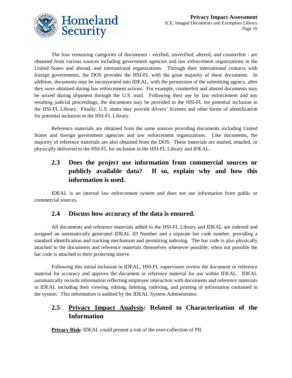

The four remaining categories of documents - verified, unverified, altered, and counterfeit - are obtained from various sources including government agencies and law enforcement organizations in the United States and abroad, and international organizations. Through their international contacts with foreign governments, the DOS provides the HSI-FL with the great majority of these documents. In addition, documents may be incorporated into IDEAL, with the permission of the submitting agency, after they were obtained during law enforcement actions. For example, counterfeit and altered documents may be seized during shipment through the U.S. mail. Following their use by law enforcement and any resulting judicial proceedings, the documents may be provided to the HSI-FL for potential inclusion in the HSI-FL Library. Finally, U.S. states may provide drivers' licenses and other forms of identification for potential inclusion in the HSI-FL Library.

Reference materials are obtained from the same sources providing documents including United States and foreign government agencies and law enforcement organizations. Like documents, the majority of reference materials are also obtained from the DOS. These materials are mailed, emailed, or physically delivered to the HSI-FL for inclusion in the HSI-FL Library and IDEAL.

#### **2.3 Does the project use information from commercial sources or publicly available data? If so, explain why and how this information is used.**

IDEAL is an internal law enforcement system and does not use information from public or commercial sources.

#### **2.4 Discuss how accuracy of the data is ensured.**

All documents and reference materials added to the HSI-FL Library and IDEAL are indexed and assigned an automatically generated IDEAL ID Number and a separate bar code number, providing a standard identification and tracking mechanism and permitting indexing. The bar code is also physically attached to the documents and reference materials themselves whenever possible; when not possible the bar code is attached to their protecting sleeve.

Following this initial inclusion in IDEAL, HSI-FL supervisors review the document or reference material for accuracy and approve the document or reference material for use within IDEAL. IDEAL automatically records information reflecting employee interaction with documents and reference materials in IDEAL including their viewing, editing, deleting, indexing, and printing of information contained in the system. This information is audited by the IDEAL System Administrator.

#### **2.5 Privacy Impact Analysis: Related to Characterization of the Information**

**Privacy Risk:** IDEAL could present a risk of the over-collection of PII.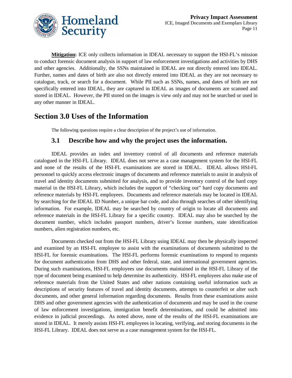

**Mitigation:** ICE only collects information in IDEAL necessary to support the HSI-FL's mission to conduct forensic document analysis in support of law enforcement investigations and activities by DHS and other agencies. Additionally, the SSNs maintained in IDEAL are not directly entered into IDEAL. Further, names and dates of birth are also not directly entered into IDEAL as they are not necessary to catalogue, track, or search for a document. While PII such as SSNs, names, and dates of birth are not specifically entered into IDEAL, they are captured in IDEAL as images of documents are scanned and stored in IDEAL. However, the PII stored on the images is view only and may not be searched or used in any other manner in IDEAL.

#### **Section 3.0 Uses of the Information**

The following questions require a clear description of the project's use of information.

#### **3.1 Describe how and why the project uses the information.**

IDEAL provides an index and inventory control of all documents and reference materials catalogued in the HSI-FL Library. IDEAL does not serve as a case management system for the HSI-FL and none of the results of the HSI-FL examinations are stored in IDEAL. IDEAL allows HSI-FL personnel to quickly access electronic images of documents and reference materials to assist in analysis of travel and identity documents submitted for analysis, and to provide inventory control of the hard copy material in the HSI-FL Library, which includes the support of "checking out" hard copy documents and reference materials by HSI-FL employees. Documents and reference materials may be located in IDEAL by searching for the IDEAL ID Number, a unique bar code, and also through searches of other identifying information. For example, IDEAL may be searched by country of origin to locate all documents and reference materials in the HSI-FL Library for a specific country. IDEAL may also be searched by the document number, which includes passport numbers, driver's license numbers, state identification numbers, alien registration numbers, etc.

Documents checked out from the HSI-FL Library using IDEAL may then be physically inspected and examined by an HSI-FL employee to assist with the examinations of documents submitted to the HSI-FL for forensic examinations. The HSI-FL performs forensic examinations to respond to requests for document authentication from DHS and other federal, state, and international government agencies. During such examinations, HSI-FL employees use documents maintained in the HSI-FL Library of the type of document being examined to help determine its authenticity. HSI-FL employees also make use of reference materials from the United States and other nations containing useful information such as descriptions of security features of travel and identity documents, attempts to counterfeit or alter such documents, and other general information regarding documents. Results from these examinations assist DHS and other government agencies with the authentication of documents and may be used in the course of law enforcement investigations, immigration benefit determinations, and could be admitted into evidence in judicial proceedings. As noted above, none of the results of the HSI-FL examinations are stored in IDEAL. It merely assists HSI-FL employees in locating, verifying, and storing documents in the HSI-FL Library. IDEAL does not serve as a case management system for the HSI-FL.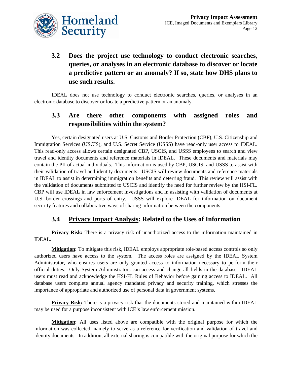

# **3.2 Does the project use technology to conduct electronic searches, queries, or analyses in an electronic database to discover or locate a predictive pattern or an anomaly? If so, state how DHS plans to use such results.**

IDEAL does not use technology to conduct electronic searches, queries, or analyses in an electronic database to discover or locate a predictive pattern or an anomaly.

#### **3.3 Are there other components with assigned roles and responsibilities within the system?**

Yes, certain designated users at U.S. Customs and Border Protection (CBP), U.S. Citizenship and Immigration Services (USCIS), and U.S. Secret Service (USSS) have read-only user access to IDEAL. This read-only access allows certain designated CBP, USCIS, and USSS employees to search and view travel and identity documents and reference materials in IDEAL. These documents and materials may contain the PII of actual individuals. This information is used by CBP, USCIS, and USSS to assist with their validation of travel and identity documents. USCIS will review documents and reference materials in IDEAL to assist in determining immigration benefits and deterring fraud. This review will assist with the validation of documents submitted to USCIS and identify the need for further review by the HSI-FL. CBP will use IDEAL in law enforcement investigations and in assisting with validation of documents at U.S. border crossings and ports of entry. USSS will explore IDEAL for information on document security features and collaborative ways of sharing information between the components.

#### **3.4 Privacy Impact Analysis: Related to the Uses of Information**

**Privacy Risk:** There is a privacy risk of unauthorized access to the information maintained in IDEAL.

**Mitigation:** To mitigate this risk, IDEAL employs appropriate role-based access controls so only authorized users have access to the system. The access roles are assigned by the IDEAL System Administrator, who ensures users are only granted access to information necessary to perform their official duties. Only System Administrators can access and change all fields in the database. IDEAL users must read and acknowledge the HSI-FL Rules of Behavior before gaining access to IDEAL. All database users complete annual agency mandated privacy and security training, which stresses the importance of appropriate and authorized use of personal data in government systems.

**Privacy Risk:** There is a privacy risk that the documents stored and maintained within IDEAL may be used for a purpose inconsistent with ICE's law enforcement mission.

**Mitigation:** All uses listed above are compatible with the original purpose for which the information was collected, namely to serve as a reference for verification and validation of travel and identity documents. In addition, all external sharing is compatible with the original purpose for which the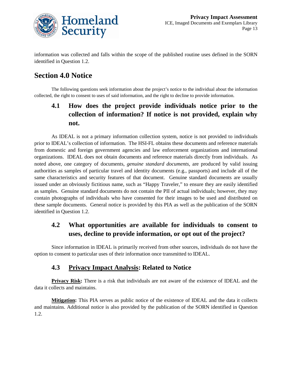

information was collected and falls within the scope of the published routine uses defined in the SORN identified in Question 1.2.

# **Section 4.0 Notice**

The following questions seek information about the project's notice to the individual about the information collected, the right to consent to uses of said information, and the right to decline to provide information.

### **4.1 How does the project provide individuals notice prior to the collection of information? If notice is not provided, explain why not.**

As IDEAL is not a primary information collection system, notice is not provided to individuals prior to IDEAL's collection of information. The HSI-FL obtains these documents and reference materials from domestic and foreign government agencies and law enforcement organizations and international organizations. IDEAL does not obtain documents and reference materials directly from individuals. As noted above, one category of documents, *genuine standard documents*, are produced by valid issuing authorities as samples of particular travel and identity documents (e.g., passports) and include all of the same characteristics and security features of that document. Genuine standard documents are usually issued under an obviously fictitious name, such as "Happy Traveler," to ensure they are easily identified as samples. Genuine standard documents do not contain the PII of actual individuals; however, they may contain photographs of individuals who have consented for their images to be used and distributed on these sample documents. General notice is provided by this PIA as well as the publication of the SORN identified in Question 1.2.

#### **4.2 What opportunities are available for individuals to consent to uses, decline to provide information, or opt out of the project?**

Since information in IDEAL is primarily received from other sources, individuals do not have the option to consent to particular uses of their information once transmitted to IDEAL.

#### **4.3 Privacy Impact Analysis: Related to Notice**

**Privacy Risk:** There is a risk that individuals are not aware of the existence of IDEAL and the data it collects and maintains.

**Mitigation:** This PIA serves as public notice of the existence of IDEAL and the data it collects and maintains. Additional notice is also provided by the publication of the SORN identified in Question 1.2.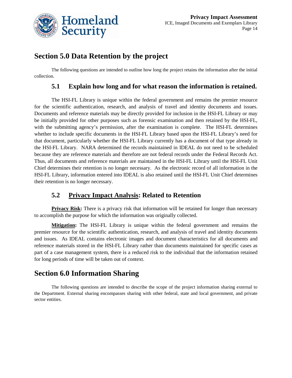

# **Section 5.0 Data Retention by the project**

The following questions are intended to outline how long the project retains the information after the initial collection.

#### **5.1 Explain how long and for what reason the information is retained.**

The HSI-FL Library is unique within the federal government and remains the premier resource for the scientific authentication, research, and analysis of travel and identity documents and issues. Documents and reference materials may be directly provided for inclusion in the HSI-FL Library or may be initially provided for other purposes such as forensic examination and then retained by the HSI-FL, with the submitting agency's permission, after the examination is complete. The HSI-FL determines whether to include specific documents in the HSI-FL Library based upon the HSI-FL Library's need for that document, particularly whether the HSI-FL Library currently has a document of that type already in the HSI-FL Library. NARA determined the records maintained in IDEAL do not need to be scheduled because they are reference materials and therefore are not federal records under the Federal Records Act. Thus, all documents and reference materials are maintained in the HSI-FL Library until the HSI-FL Unit Chief determines their retention is no longer necessary. As the electronic record of all information in the HSI-FL Library, information entered into IDEAL is also retained until the HSI-FL Unit Chief determines their retention is no longer necessary.

#### **5.2 Privacy Impact Analysis: Related to Retention**

**Privacy Risk:** There is a privacy risk that information will be retained for longer than necessary to accomplish the purpose for which the information was originally collected.

**Mitigation:** The HSI-FL Library is unique within the federal government and remains the premier resource for the scientific authentication, research, and analysis of travel and identity documents and issues. As IDEAL contains electronic images and document characteristics for all documents and reference materials stored in the HSI-FL Library rather than documents maintained for specific cases as part of a case management system, there is a reduced risk to the individual that the information retained for long periods of time will be taken out of context.

#### **Section 6.0 Information Sharing**

The following questions are intended to describe the scope of the project information sharing external to the Department. External sharing encompasses sharing with other federal, state and local government, and private sector entities.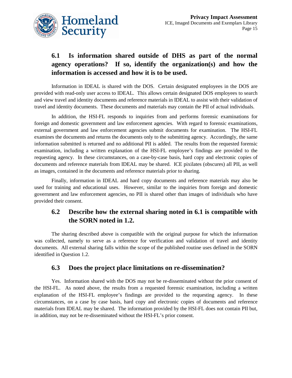

# **6.1 Is information shared outside of DHS as part of the normal agency operations? If so, identify the organization(s) and how the information is accessed and how it is to be used.**

Information in IDEAL is shared with the DOS. Certain designated employees in the DOS are provided with read-only user access to IDEAL. This allows certain designated DOS employees to search and view travel and identity documents and reference materials in IDEAL to assist with their validation of travel and identity documents. These documents and materials may contain the PII of actual individuals.

In addition, the HSI-FL responds to inquiries from and performs forensic examinations for foreign and domestic government and law enforcement agencies. With regard to forensic examinations, external government and law enforcement agencies submit documents for examination. The HSI-FL examines the documents and returns the documents only to the submitting agency. Accordingly, the same information submitted is returned and no additional PII is added. The results from the requested forensic examination, including a written explanation of the HSI-FL employee's findings are provided to the requesting agency. In these circumstances, on a case-by-case basis, hard copy and electronic copies of documents and reference materials from IDEAL may be shared. ICE pixilates (obscures) all PII, as well as images, contained in the documents and reference materials prior to sharing.

Finally, information in IDEAL and hard copy documents and reference materials may also be used for training and educational uses. However, similar to the inquiries from foreign and domestic government and law enforcement agencies, no PII is shared other than images of individuals who have provided their consent.

#### **6.2 Describe how the external sharing noted in 6.1 is compatible with the SORN noted in 1.2.**

The sharing described above is compatible with the original purpose for which the information was collected, namely to serve as a reference for verification and validation of travel and identity documents. All external sharing falls within the scope of the published routine uses defined in the SORN identified in Question 1.2.

#### **6.3 Does the project place limitations on re-dissemination?**

Yes. Information shared with the DOS may not be re-disseminated without the prior consent of the HSI-FL. As noted above, the results from a requested forensic examination, including a written explanation of the HSI-FL employee's findings are provided to the requesting agency. In these circumstances, on a case by case basis, hard copy and electronic copies of documents and reference materials from IDEAL may be shared. The information provided by the HSI-FL does not contain PII but, in addition, may not be re-disseminated without the HSI-FL's prior consent.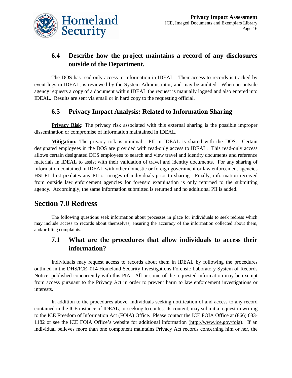

#### **6.4 Describe how the project maintains a record of any disclosures outside of the Department.**

The DOS has read-only access to information in IDEAL. Their access to records is tracked by event logs in IDEAL, is reviewed by the System Administrator, and may be audited. When an outside agency requests a copy of a document within IDEAL the request is manually logged and also entered into IDEAL. Results are sent via email or in hard copy to the requesting official.

#### **6.5 Privacy Impact Analysis: Related to Information Sharing**

**Privacy Risk:** The privacy risk associated with this external sharing is the possible improper dissemination or compromise of information maintained in IDEAL.

**Mitigation:** The privacy risk is minimal. PII in IDEAL is shared with the DOS. Certain designated employees in the DOS are provided with read-only access to IDEAL. This read-only access allows certain designated DOS employees to search and view travel and identity documents and reference materials in IDEAL to assist with their validation of travel and identity documents. For any sharing of information contained in IDEAL with other domestic or foreign government or law enforcement agencies HSI-FL first pixilates any PII or images of individuals prior to sharing. Finally, information received from outside law enforcement agencies for forensic examination is only returned to the submitting agency. Accordingly, the same information submitted is returned and no additional PII is added.

# **Section 7.0 Redress**

The following questions seek information about processes in place for individuals to seek redress which may include access to records about themselves, ensuring the accuracy of the information collected about them, and/or filing complaints.

#### **7.1 What are the procedures that allow individuals to access their information?**

Individuals may request access to records about them in IDEAL by following the procedures outlined in the DHS/ICE–014 Homeland Security Investigations Forensic Laboratory System of Records Notice, published concurrently with this PIA. All or some of the requested information may be exempt from access pursuant to the Privacy Act in order to prevent harm to law enforcement investigations or interests.

In addition to the procedures above, individuals seeking notification of and access to any record contained in the ICE instance of IDEAL, or seeking to contest its content, may submit a request in writing to the ICE Freedom of Information Act (FOIA) Office. Please contact the ICE FOIA Office at (866) 633- 1182 or see the ICE FOIA Office's website for additional information (http://www.ice.gov/foia). If an individual believes more than one component maintains Privacy Act records concerning him or her, the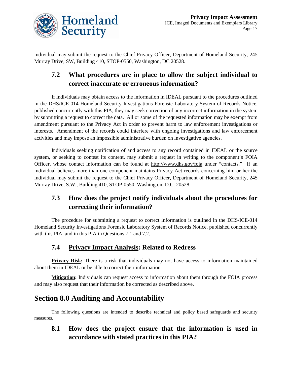

individual may submit the request to the Chief Privacy Officer, Department of Homeland Security, 245 Murray Drive, SW, Building 410, STOP-0550, Washington, DC 20528.

## **7.2 What procedures are in place to allow the subject individual to correct inaccurate or erroneous information?**

If individuals may obtain access to the information in IDEAL pursuant to the procedures outlined in the DHS/ICE-014 Homeland Security Investigations Forensic Laboratory System of Records Notice, published concurrently with this PIA, they may seek correction of any incorrect information in the system by submitting a request to correct the data. All or some of the requested information may be exempt from amendment pursuant to the Privacy Act in order to prevent harm to law enforcement investigations or interests. Amendment of the records could interfere with ongoing investigations and law enforcement activities and may impose an impossible administrative burden on investigative agencies.

Individuals seeking notification of and access to any record contained in IDEAL or the source system, or seeking to contest its content, may submit a request in writing to the component's FOIA Officer, whose contact information can be found at http://www.dhs.gov/foia under "contacts." If an individual believes more than one component maintains Privacy Act records concerning him or her the individual may submit the request to the Chief Privacy Officer, Department of Homeland Security, 245 Murray Drive, S.W., Building 410, STOP-0550, Washington, D.C. 20528.

# **7.3 How does the project notify individuals about the procedures for correcting their information?**

The procedure for submitting a request to correct information is outlined in the DHS/ICE-014 Homeland Security Investigations Forensic Laboratory System of Records Notice, published concurrently with this PIA, and in this PIA in Questions 7.1 and 7.2.

#### **7.4 Privacy Impact Analysis: Related to Redress**

**Privacy Risk:** There is a risk that individuals may not have access to information maintained about them in IDEAL or be able to correct their information.

**Mitigation:** Individuals can request access to information about them through the FOIA process and may also request that their information be corrected as described above.

# **Section 8.0 Auditing and Accountability**

The following questions are intended to describe technical and policy based safeguards and security measures.

**8.1 How does the project ensure that the information is used in accordance with stated practices in this PIA?**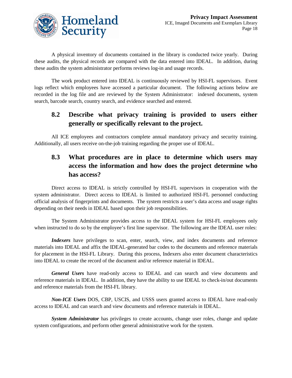

A physical inventory of documents contained in the library is conducted twice yearly. During these audits, the physical records are compared with the data entered into IDEAL. In addition, during these audits the system administrator performs reviews log-in and usage records.

The work product entered into IDEAL is continuously reviewed by HSI-FL supervisors. Event logs reflect which employees have accessed a particular document. The following actions below are recorded in the log file and are reviewed by the System Administrator: indexed documents, system search, barcode search, country search, and evidence searched and entered.

#### **8.2 Describe what privacy training is provided to users either generally or specifically relevant to the project.**

All ICE employees and contractors complete annual mandatory privacy and security training. Additionally, all users receive on-the-job training regarding the proper use of IDEAL.

## **8.3 What procedures are in place to determine which users may access the information and how does the project determine who has access?**

Direct access to IDEAL is strictly controlled by HSI-FL supervisors in cooperation with the system administrator. Direct access to IDEAL is limited to authorized HSI-FL personnel conducting official analysis of fingerprints and documents. The system restricts a user's data access and usage rights depending on their needs in IDEAL based upon their job responsibilities.

The System Administrator provides access to the IDEAL system for HSI-FL employees only when instructed to do so by the employee's first line supervisor. The following are the IDEAL user roles:

*Indexers* have privileges to scan, enter, search, view, and index documents and reference materials into IDEAL and affix the IDEAL-generated bar codes to the documents and reference materials for placement in the HSI-FL Library. During this process, Indexers also enter document characteristics into IDEAL to create the record of the document and/or reference material in IDEAL.

*General Users* have read-only access to IDEAL and can search and view documents and reference materials in IDEAL. In addition, they have the ability to use IDEAL to check-in/out documents and reference materials from the HSI-FL library.

*Non-ICE Users* DOS, CBP, USCIS, and USSS users granted access to IDEAL have read-only access to IDEAL and can search and view documents and reference materials in IDEAL.

*System Administrator* has privileges to create accounts, change user roles, change and update system configurations, and perform other general administrative work for the system.